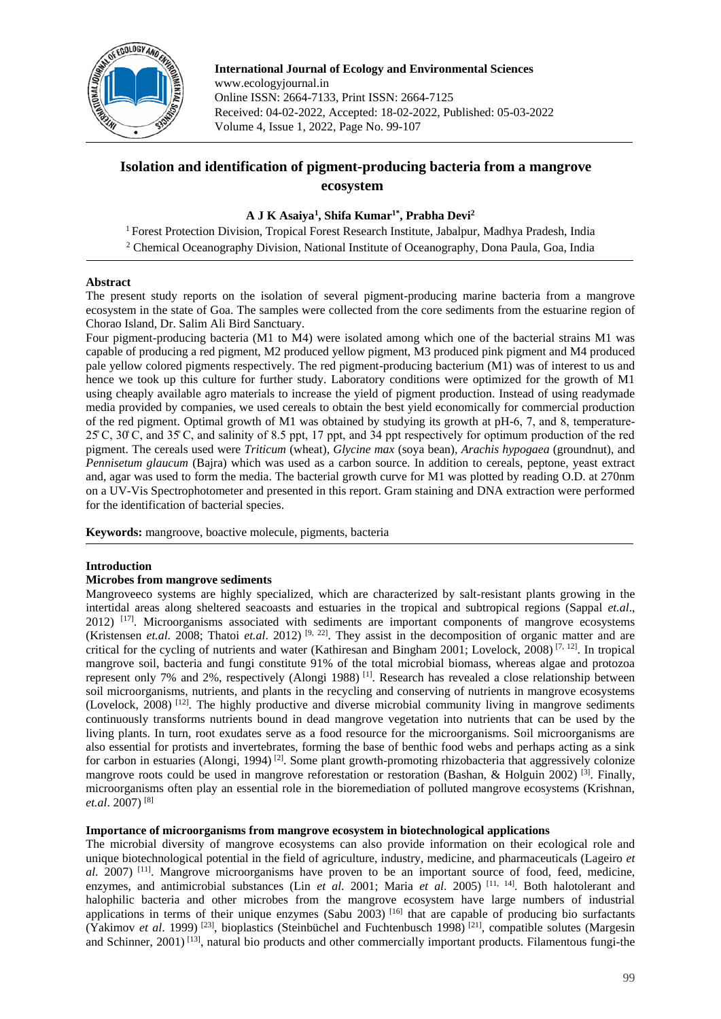

**International Journal of Ecology and Environmental Sciences** www.ecologyjournal.in Online ISSN: 2664-7133, Print ISSN: 2664-7125 Received: 04-02-2022, Accepted: 18-02-2022, Published: 05-03-2022 Volume 4, Issue 1, 2022, Page No. 99-107

# **Isolation and identification of pigment-producing bacteria from a mangrove ecosystem**

# **A J K Asaiya<sup>1</sup> , Shifa Kumar1\*, Prabha Devi<sup>2</sup>**

<sup>1</sup> Forest Protection Division, Tropical Forest Research Institute, Jabalpur, Madhya Pradesh, India <sup>2</sup> Chemical Oceanography Division, National Institute of Oceanography, Dona Paula, Goa, India

### **Abstract**

The present study reports on the isolation of several pigment-producing marine bacteria from a mangrove ecosystem in the state of Goa. The samples were collected from the core sediments from the estuarine region of Chorao Island, Dr. Salim Ali Bird Sanctuary.

Four pigment-producing bacteria (M1 to M4) were isolated among which one of the bacterial strains M1 was capable of producing a red pigment, M2 produced yellow pigment, M3 produced pink pigment and M4 produced pale yellow colored pigments respectively. The red pigment-producing bacterium (M1) was of interest to us and hence we took up this culture for further study. Laboratory conditions were optimized for the growth of M1 using cheaply available agro materials to increase the yield of pigment production. Instead of using readymade media provided by companies, we used cereals to obtain the best yield economically for commercial production of the red pigment. Optimal growth of M1 was obtained by studying its growth at pH-6, 7, and 8, temperature-25̊ C, 30̊ C, and 35̊ C, and salinity of 8.5 ppt, 17 ppt, and 34 ppt respectively for optimum production of the red pigment. The cereals used were *Triticum* (wheat)*, Glycine max* (soya bean)*, Arachis hypogaea* (groundnut), and *Pennisetum glaucum* (Bajra) which was used as a carbon source. In addition to cereals, peptone, yeast extract and, agar was used to form the media. The bacterial growth curve for M1 was plotted by reading O.D. at 270nm on a UV-Vis Spectrophotometer and presented in this report. Gram staining and DNA extraction were performed for the identification of bacterial species.

**Keywords:** mangroove, boactive molecule, pigments, bacteria

# **Introduction**

# **Microbes from mangrove sediments**

Mangroveeco systems are highly specialized, which are characterized by salt-resistant plants growing in the intertidal areas along sheltered seacoasts and estuaries in the tropical and subtropical regions (Sappal *et.al*., 2012)<sup>[17]</sup>. Microorganisms associated with sediments are important components of mangrove ecosystems (Kristensen *et.al*. 2008; Thatoi *et.al*. 2012) [9, 22] . They assist in the decomposition of organic matter and are critical for the cycling of nutrients and water (Kathiresan and Bingham 2001; Lovelock, 2008)<sup>[7, 12]</sup>. In tropical mangrove soil, bacteria and fungi constitute 91% of the total microbial biomass, whereas algae and protozoa represent only 7% and 2%, respectively (Alongi 1988)<sup>[1]</sup>. Research has revealed a close relationship between soil microorganisms, nutrients, and plants in the recycling and conserving of nutrients in mangrove ecosystems (Lovelock, 2008)<sup>[12]</sup>. The highly productive and diverse microbial community living in mangrove sediments continuously transforms nutrients bound in dead mangrove vegetation into nutrients that can be used by the living plants. In turn, root exudates serve as a food resource for the microorganisms. Soil microorganisms are also essential for protists and invertebrates, forming the base of benthic food webs and perhaps acting as a sink for carbon in estuaries (Alongi, 1994)<sup>[2]</sup>. Some plant growth-promoting rhizobacteria that aggressively colonize mangrove roots could be used in mangrove reforestation or restoration (Bashan, & Holguin 2002)<sup>[3]</sup>. Finally, microorganisms often play an essential role in the bioremediation of polluted mangrove ecosystems (Krishnan, *et.al*. 2007) [8]

### **Importance of microorganisms from mangrove ecosystem in biotechnological applications**

The microbial diversity of mangrove ecosystems can also provide information on their ecological role and unique biotechnological potential in the field of agriculture, industry, medicine, and pharmaceuticals (Lageiro *et al.* 2007) <sup>[11]</sup>. Mangrove microorganisms have proven to be an important source of food, feed, medicine, enzymes, and antimicrobial substances (Lin *et al.* 2001; Maria *et al.* 2005)<sup>[11, 14]</sup>. Both halotolerant and halophilic bacteria and other microbes from the mangrove ecosystem have large numbers of industrial applications in terms of their unique enzymes (Sabu 2003)  $[16]$  that are capable of producing bio surfactants (Yakimov *et al.* 1999)<sup>[23]</sup>, bioplastics (Steinbüchel and Fuchtenbusch 1998)<sup>[21]</sup>, compatible solutes (Margesin and Schinner, 2001)<sup>[13]</sup>, natural bio products and other commercially important products. Filamentous fungi-the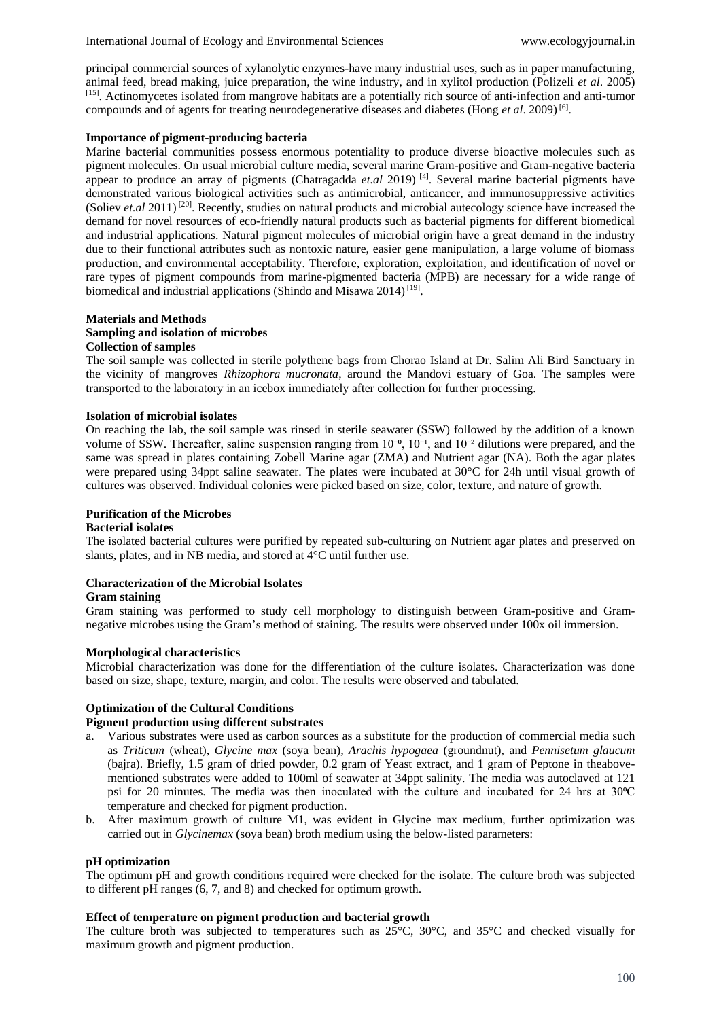International Journal of Ecology and Environmental Sciences www.ecologyjournal.in

principal commercial sources of xylanolytic enzymes-have many industrial uses, such as in paper manufacturing, animal feed, bread making, juice preparation, the wine industry, and in xylitol production (Polizeli *et al*. 2005) [15] . Actinomycetes isolated from mangrove habitats are a potentially rich source of anti-infection and anti-tumor compounds and of agents for treating neurodegenerative diseases and diabetes (Hong et al. 2009)<sup>[6]</sup>.

# **Importance of pigment-producing bacteria**

Marine bacterial communities possess enormous potentiality to produce diverse bioactive molecules such as pigment molecules. On usual microbial culture media, several marine Gram-positive and Gram-negative bacteria appear to produce an array of pigments (Chatragadda *et.al* 2019) [4] . Several marine bacterial pigments have demonstrated various biological activities such as antimicrobial, anticancer, and immunosuppressive activities (Soliev *et.al* 2011)<sup>[20]</sup>. Recently, studies on natural products and microbial autecology science have increased the demand for novel resources of eco-friendly natural products such as bacterial pigments for different biomedical and industrial applications. Natural pigment molecules of microbial origin have a great demand in the industry due to their functional attributes such as nontoxic nature, easier gene manipulation, a large volume of biomass production, and environmental acceptability. Therefore, exploration, exploitation, and identification of novel or rare types of pigment compounds from marine-pigmented bacteria (MPB) are necessary for a wide range of biomedical and industrial applications (Shindo and Misawa 2014)<sup>[19]</sup>.

#### **Materials and Methods Sampling and isolation of microbes Collection of samples**

The soil sample was collected in sterile polythene bags from Chorao Island at Dr. Salim Ali Bird Sanctuary in the vicinity of mangroves *Rhizophora mucronata*, around the Mandovi estuary of Goa. The samples were transported to the laboratory in an icebox immediately after collection for further processing.

# **Isolation of microbial isolates**

On reaching the lab, the soil sample was rinsed in sterile seawater (SSW) followed by the addition of a known volume of SSW. Thereafter, saline suspension ranging from  $10^{-6}$ ,  $10^{-1}$ , and  $10^{-2}$  dilutions were prepared, and the same was spread in plates containing Zobell Marine agar (ZMA) and Nutrient agar (NA). Both the agar plates were prepared using 34ppt saline seawater. The plates were incubated at 30°C for 24h until visual growth of cultures was observed. Individual colonies were picked based on size, color, texture, and nature of growth.

# **Purification of the Microbes**

# **Bacterial isolates**

The isolated bacterial cultures were purified by repeated sub-culturing on Nutrient agar plates and preserved on slants, plates, and in NB media, and stored at 4°C until further use.

#### **Characterization of the Microbial Isolates**

#### **Gram staining**

Gram staining was performed to study cell morphology to distinguish between Gram-positive and Gramnegative microbes using the Gram's method of staining. The results were observed under 100x oil immersion.

#### **Morphological characteristics**

Microbial characterization was done for the differentiation of the culture isolates. Characterization was done based on size, shape, texture, margin, and color. The results were observed and tabulated.

# **Optimization of the Cultural Conditions**

# **Pigment production using different substrates**

- Various substrates were used as carbon sources as a substitute for the production of commercial media such as *Triticum* (wheat)*, Glycine max* (soya bean)*, Arachis hypogaea* (groundnut)*,* and *Pennisetum glaucum*  (bajra). Briefly, 1.5 gram of dried powder, 0.2 gram of Yeast extract, and 1 gram of Peptone in theabovementioned substrates were added to 100ml of seawater at 34ppt salinity. The media was autoclaved at 121 psi for 20 minutes. The media was then inoculated with the culture and incubated for 24 hrs at 30°C temperature and checked for pigment production.
- b. After maximum growth of culture M1, was evident in Glycine max medium, further optimization was carried out in *Glycinemax* (soya bean) broth medium using the below-listed parameters:

#### **pH optimization**

The optimum pH and growth conditions required were checked for the isolate. The culture broth was subjected to different pH ranges (6, 7, and 8) and checked for optimum growth.

#### **Effect of temperature on pigment production and bacterial growth**

The culture broth was subjected to temperatures such as  $25^{\circ}$ C, 30°C, and 35°C and checked visually for maximum growth and pigment production.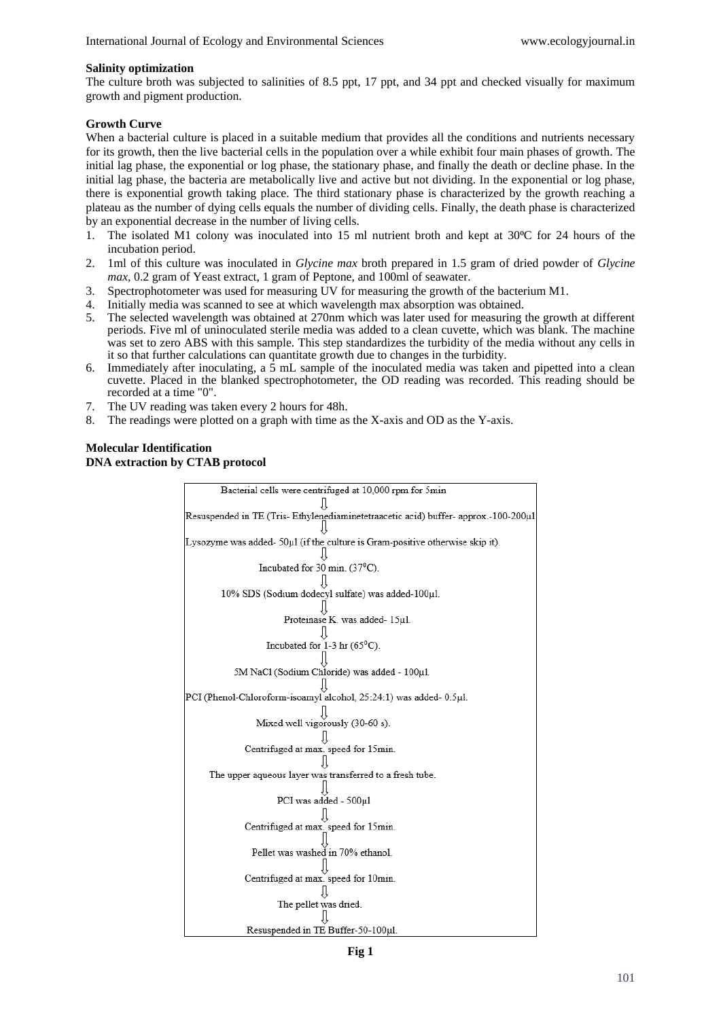#### **Salinity optimization**

The culture broth was subjected to salinities of 8.5 ppt, 17 ppt, and 34 ppt and checked visually for maximum growth and pigment production.

# **Growth Curve**

When a bacterial culture is placed in a suitable medium that provides all the conditions and nutrients necessary for its growth, then the live bacterial cells in the population over a while exhibit four main phases of growth. The initial lag phase, the exponential or log phase, the stationary phase, and finally the death or decline phase. In the initial lag phase, the bacteria are metabolically live and active but not dividing. In the exponential or log phase, there is exponential growth taking place. The third stationary phase is characterized by the growth reaching a plateau as the number of dying cells equals the number of dividing cells. Finally, the death phase is characterized by an exponential decrease in the number of living cells.

- 1. The isolated M1 colony was inoculated into 15 ml nutrient broth and kept at 30°C for 24 hours of the incubation period.
- 2. 1ml of this culture was inoculated in *Glycine max* broth prepared in 1.5 gram of dried powder of *Glycine max*, 0.2 gram of Yeast extract, 1 gram of Peptone, and 100ml of seawater.
- 3. Spectrophotometer was used for measuring UV for measuring the growth of the bacterium M1.
- 4. Initially media was scanned to see at which wavelength max absorption was obtained.
- 5. The selected wavelength was obtained at 270nm which was later used for measuring the growth at different periods. Five ml of uninoculated sterile media was added to a clean cuvette, which was blank. The machine was set to zero ABS with this sample. This step standardizes the turbidity of the media without any cells in it so that further calculations can quantitate growth due to changes in the turbidity.
- 6. Immediately after inoculating, a  $\overline{5}$  mL sample of the inoculated media was taken and pipetted into a clean cuvette. Placed in the blanked spectrophotometer, the OD reading was recorded. This reading should be recorded at a time "0".
- 7. The UV reading was taken every 2 hours for 48h.
- 8. The readings were plotted on a graph with time as the X-axis and OD as the Y-axis.

# **Molecular Identification DNA extraction by CTAB protocol**

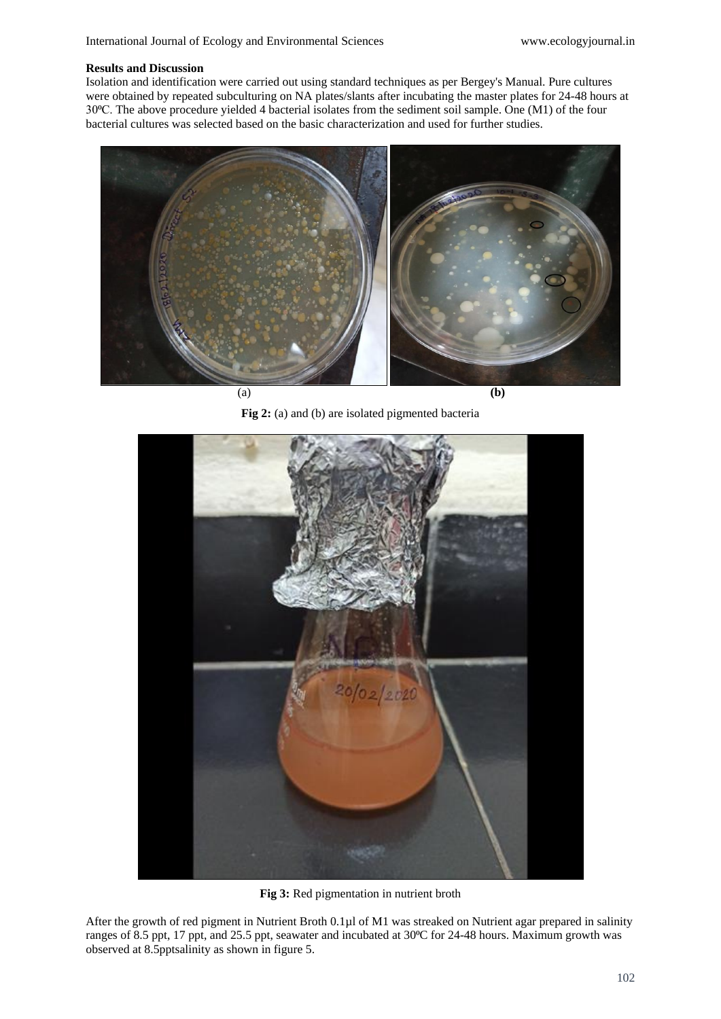### **Results and Discussion**

Isolation and identification were carried out using standard techniques as per Bergey's Manual. Pure cultures were obtained by repeated subculturing on NA plates/slants after incubating the master plates for 24-48 hours at 30⁰C. The above procedure yielded 4 bacterial isolates from the sediment soil sample. One (M1) of the four bacterial cultures was selected based on the basic characterization and used for further studies.



Fig 2: (a) and (b) are isolated pigmented bacteria



**Fig 3:** Red pigmentation in nutrient broth

After the growth of red pigment in Nutrient Broth 0.1µl of M1 was streaked on Nutrient agar prepared in salinity ranges of 8.5 ppt, 17 ppt, and 25.5 ppt, seawater and incubated at 30°C for 24-48 hours. Maximum growth was observed at 8.5pptsalinity as shown in figure 5.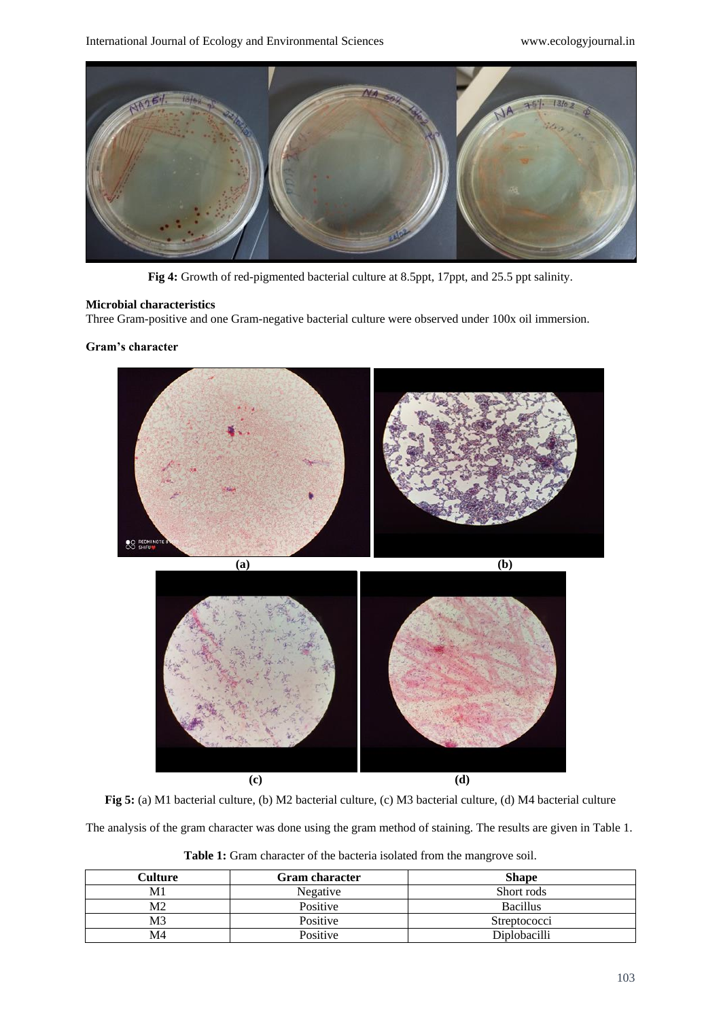

**Fig 4:** Growth of red-pigmented bacterial culture at 8.5ppt, 17ppt, and 25.5 ppt salinity.

# **Microbial characteristics**

Three Gram-positive and one Gram-negative bacterial culture were observed under 100x oil immersion.

### **Gram's character**



**Fig 5:** (a) M1 bacterial culture, (b) M2 bacterial culture, (c) M3 bacterial culture, (d) M4 bacterial culture

The analysis of the gram character was done using the gram method of staining. The results are given in Table 1.

| Culture        | <b>Gram character</b> | <b>Shape</b>    |
|----------------|-----------------------|-----------------|
| M1             | Negative              | Short rods      |
| M2             | Positive              | <b>Bacillus</b> |
| M <sub>3</sub> | Positive              | Streptococci    |
| M4             | Positive              | Diplobacilli    |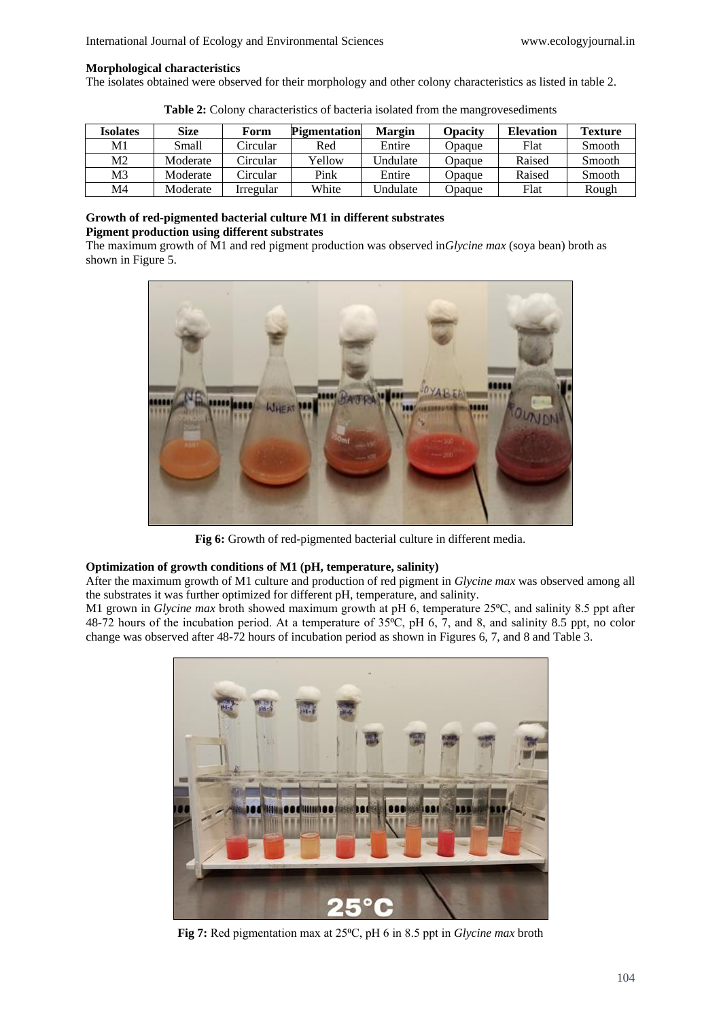#### **Morphological characteristics**

The isolates obtained were observed for their morphology and other colony characteristics as listed in table 2.

| <b>Isolates</b> | <b>Size</b> | Form      | <b>Pigmentation</b> | <b>Margin</b> | <b>Opacity</b> | <b>Elevation</b> | <b>Texture</b> |
|-----------------|-------------|-----------|---------------------|---------------|----------------|------------------|----------------|
| M1              | Small       | Circular  | Red                 | Entire        | <b>D</b> paque | Flat             | Smooth         |
| M2              | Moderate    | Circular  | Yellow              | Undulate      | Opaque         | Raised           | Smooth         |
| M <sub>3</sub>  | Moderate    | Circular  | Pink                | Entire        | Opaque         | Raised           | Smooth         |
| M4              | Moderate    | Irregular | White               | Undulate      | <b>Opaque</b>  | Flat             | Rough          |

**Table 2:** Colony characteristics of bacteria isolated from the mangrovesediments

### **Growth of red-pigmented bacterial culture M1 in different substrates Pigment production using different substrates**

The maximum growth of M1 and red pigment production was observed in*Glycine max* (soya bean) broth as shown in Figure 5.



**Fig 6:** Growth of red-pigmented bacterial culture in different media.

# **Optimization of growth conditions of M1 (pH, temperature, salinity)**

After the maximum growth of M1 culture and production of red pigment in *Glycine max* was observed among all the substrates it was further optimized for different pH, temperature, and salinity.

M1 grown in *Glycine max* broth showed maximum growth at pH 6, temperature 25°C, and salinity 8.5 ppt after 48-72 hours of the incubation period. At a temperature of 35°C, pH 6, 7, and 8, and salinity 8.5 ppt, no color change was observed after 48-72 hours of incubation period as shown in Figures 6, 7, and 8 and Table 3.



Fig 7: Red pigmentation max at 25<sup>o</sup>C, pH 6 in 8.5 ppt in *Glycine max* broth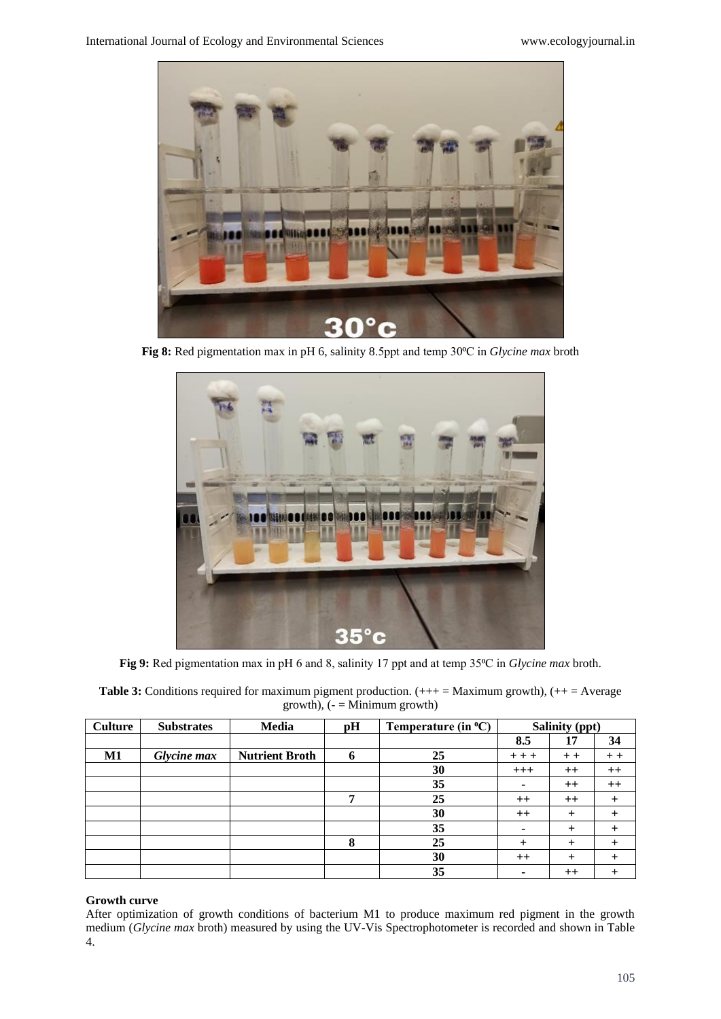

**Fig 8:** Red pigmentation max in pH 6, salinity 8.5ppt and temp 30⁰C in *Glycine max* broth



**Fig 9:** Red pigmentation max in pH 6 and 8, salinity 17 ppt and at temp 35⁰C in *Glycine max* broth.

| <b>Table 3:</b> Conditions required for maximum pigment production. $(++=$ Maximum growth), $(++=$ Average |
|------------------------------------------------------------------------------------------------------------|
| $growth$ , ( $-$ = Minimum growth)                                                                         |

| <b>Culture</b> | <b>Substrates</b> | <b>Media</b>          | pH | Temperature (in $^{\circ}C$ ) | Salinity (ppt) |           |         |
|----------------|-------------------|-----------------------|----|-------------------------------|----------------|-----------|---------|
|                |                   |                       |    |                               | 8.5            | 17        | 34      |
| M1             | Glycine max       | <b>Nutrient Broth</b> | 6  | 25                            | $++$           | $+ +$     | $+ +$   |
|                |                   |                       |    | 30                            | $+++$          | $++$      | $++$    |
|                |                   |                       |    | 35                            | ۰              | $++$      | $^{++}$ |
|                |                   |                       | 7  | 25                            | $++$           | $++$      |         |
|                |                   |                       |    | 30                            | $++$           | $\pm$     |         |
|                |                   |                       |    | 35                            |                | $\ddot{}$ |         |
|                |                   |                       | 8  | 25                            | $^{+}$         | $^{+}$    |         |
|                |                   |                       |    | 30                            | $++$           | +         |         |
|                |                   |                       |    | 35                            |                | $++$      |         |

# **Growth curve**

After optimization of growth conditions of bacterium M1 to produce maximum red pigment in the growth medium (*Glycine max* broth) measured by using the UV-Vis Spectrophotometer is recorded and shown in Table 4.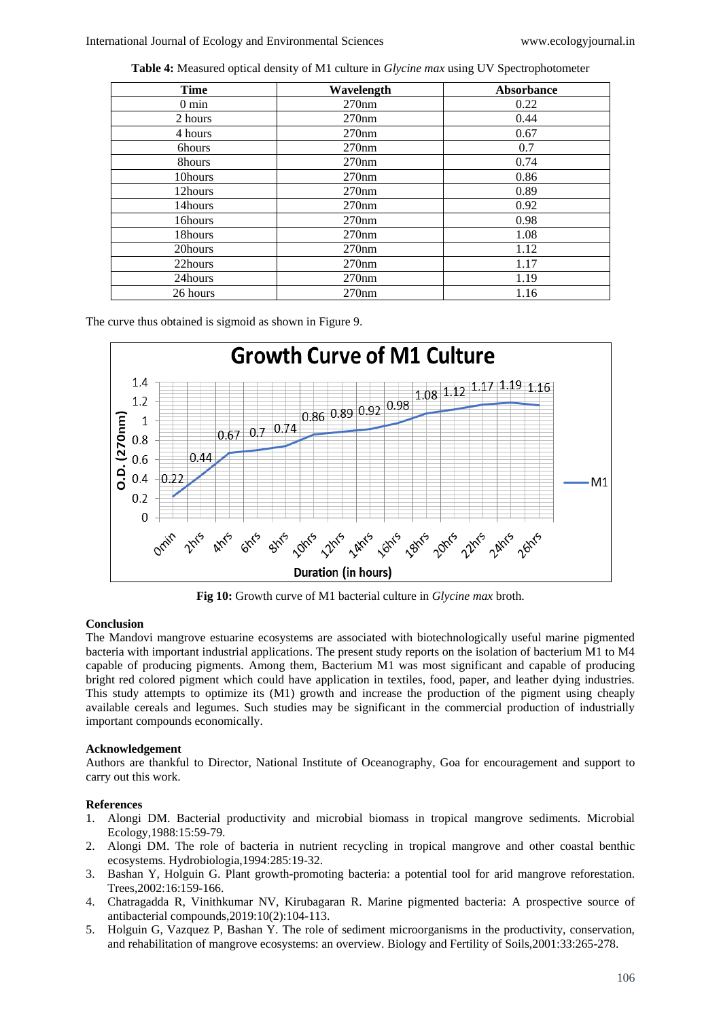**Table 4:** Measured optical density of M1 culture in *Glycine max* using UV Spectrophotometer

| <b>Time</b>     | Wavelength | <b>Absorbance</b> |
|-----------------|------------|-------------------|
| $0 \text{ min}$ | 270nm      | 0.22              |
| 2 hours         | 270nm      | 0.44              |
| 4 hours         | 270nm      | 0.67              |
| 6hours          | 270nm      | 0.7               |
| 8hours          | 270nm      | 0.74              |
| 10hours         | 270nm      | 0.86              |
| 12hours         | 270nm      | 0.89              |
| 14hours         | 270nm      | 0.92              |
| 16hours         | 270nm      | 0.98              |
| 18hours         | 270nm      | 1.08              |
| 20hours         | 270nm      | 1.12              |
| 22hours         | 270nm      | 1.17              |
| 24hours         | 270nm      | 1.19              |
| 26 hours        | 270nm      | 1.16              |

The curve thus obtained is sigmoid as shown in Figure 9.



**Fig 10:** Growth curve of M1 bacterial culture in *Glycine max* broth.

# **Conclusion**

The Mandovi mangrove estuarine ecosystems are associated with biotechnologically useful marine pigmented bacteria with important industrial applications. The present study reports on the isolation of bacterium M1 to M4 capable of producing pigments. Among them, Bacterium M1 was most significant and capable of producing bright red colored pigment which could have application in textiles, food, paper, and leather dying industries. This study attempts to optimize its (M1) growth and increase the production of the pigment using cheaply available cereals and legumes. Such studies may be significant in the commercial production of industrially important compounds economically.

# **Acknowledgement**

Authors are thankful to Director, National Institute of Oceanography, Goa for encouragement and support to carry out this work.

# **References**

- 1. Alongi DM. Bacterial productivity and microbial biomass in tropical mangrove sediments. Microbial Ecology,1988:15:59-79.
- 2. Alongi DM. The role of bacteria in nutrient recycling in tropical mangrove and other coastal benthic ecosystems. Hydrobiologia,1994:285:19-32.
- 3. Bashan Y, Holguin G. Plant growth-promoting bacteria: a potential tool for arid mangrove reforestation. Trees,2002:16:159-166.
- 4. Chatragadda R, Vinithkumar NV, Kirubagaran R. Marine pigmented bacteria: A prospective source of antibacterial compounds,2019:10(2):104-113.
- 5. Holguin G, Vazquez P, Bashan Y. The role of sediment microorganisms in the productivity, conservation, and rehabilitation of mangrove ecosystems: an overview. Biology and Fertility of Soils,2001:33:265-278.